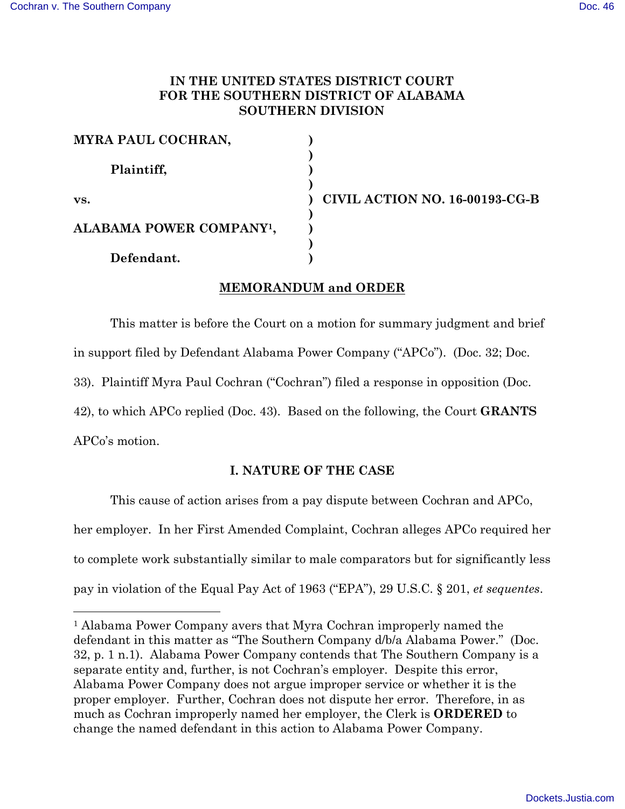# **IN THE UNITED STATES DISTRICT COURT FOR THE SOUTHERN DISTRICT OF ALABAMA SOUTHERN DIVISION**

| MYRA PAUL COCHRAN,                   |                                |
|--------------------------------------|--------------------------------|
| Plaintiff,                           |                                |
| VS.                                  | CIVIL ACTION NO. 16-00193-CG-B |
| ALABAMA POWER COMPANY <sup>1</sup> , |                                |
| Defendant.                           |                                |

# **MEMORANDUM and ORDER**

This matter is before the Court on a motion for summary judgment and brief

in support filed by Defendant Alabama Power Company ("APCo"). (Doc. 32; Doc.

33). Plaintiff Myra Paul Cochran ("Cochran") filed a response in opposition (Doc.

42), to which APCo replied (Doc. 43). Based on the following, the Court **GRANTS**

APCo's motion.

# **I. NATURE OF THE CASE**

This cause of action arises from a pay dispute between Cochran and APCo, her employer. In her First Amended Complaint, Cochran alleges APCo required her to complete work substantially similar to male comparators but for significantly less pay in violation of the Equal Pay Act of 1963 ("EPA"), 29 U.S.C. § 201, *et sequentes*.

 <sup>1</sup> Alabama Power Company avers that Myra Cochran improperly named the defendant in this matter as "The Southern Company d/b/a Alabama Power." (Doc. 32, p. 1 n.1). Alabama Power Company contends that The Southern Company is a separate entity and, further, is not Cochran's employer. Despite this error, Alabama Power Company does not argue improper service or whether it is the proper employer. Further, Cochran does not dispute her error. Therefore, in as much as Cochran improperly named her employer, the Clerk is **ORDERED** to change the named defendant in this action to Alabama Power Company.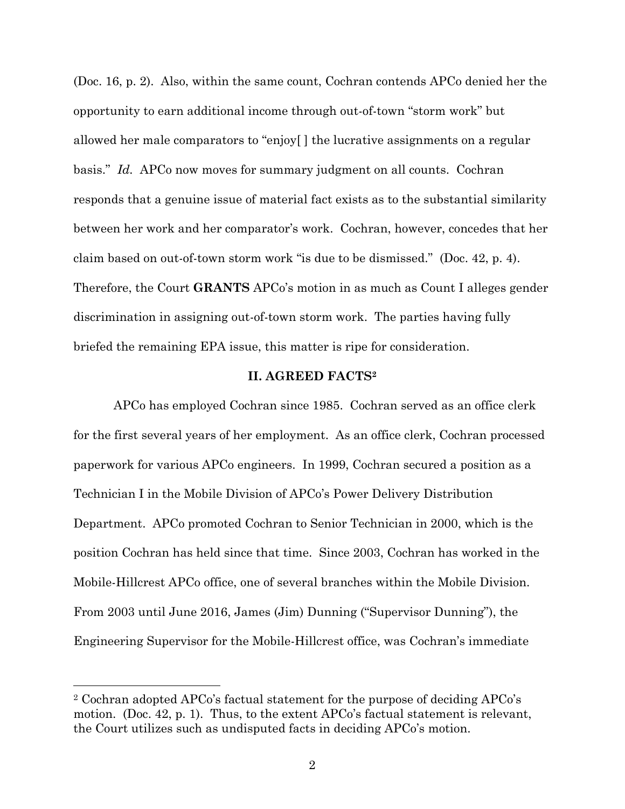(Doc. 16, p. 2). Also, within the same count, Cochran contends APCo denied her the opportunity to earn additional income through out-of-town "storm work" but allowed her male comparators to "enjoy[ ] the lucrative assignments on a regular basis." *Id.* APCo now moves for summary judgment on all counts. Cochran responds that a genuine issue of material fact exists as to the substantial similarity between her work and her comparator's work. Cochran, however, concedes that her claim based on out-of-town storm work "is due to be dismissed." (Doc. 42, p. 4). Therefore, the Court **GRANTS** APCo's motion in as much as Count I alleges gender discrimination in assigning out-of-town storm work. The parties having fully briefed the remaining EPA issue, this matter is ripe for consideration.

#### **II. AGREED FACTS2**

APCo has employed Cochran since 1985. Cochran served as an office clerk for the first several years of her employment. As an office clerk, Cochran processed paperwork for various APCo engineers. In 1999, Cochran secured a position as a Technician I in the Mobile Division of APCo's Power Delivery Distribution Department. APCo promoted Cochran to Senior Technician in 2000, which is the position Cochran has held since that time. Since 2003, Cochran has worked in the Mobile-Hillcrest APCo office, one of several branches within the Mobile Division. From 2003 until June 2016, James (Jim) Dunning ("Supervisor Dunning"), the Engineering Supervisor for the Mobile-Hillcrest office, was Cochran's immediate

 <sup>2</sup> Cochran adopted APCo's factual statement for the purpose of deciding APCo's motion. (Doc. 42, p. 1). Thus, to the extent APCo's factual statement is relevant, the Court utilizes such as undisputed facts in deciding APCo's motion.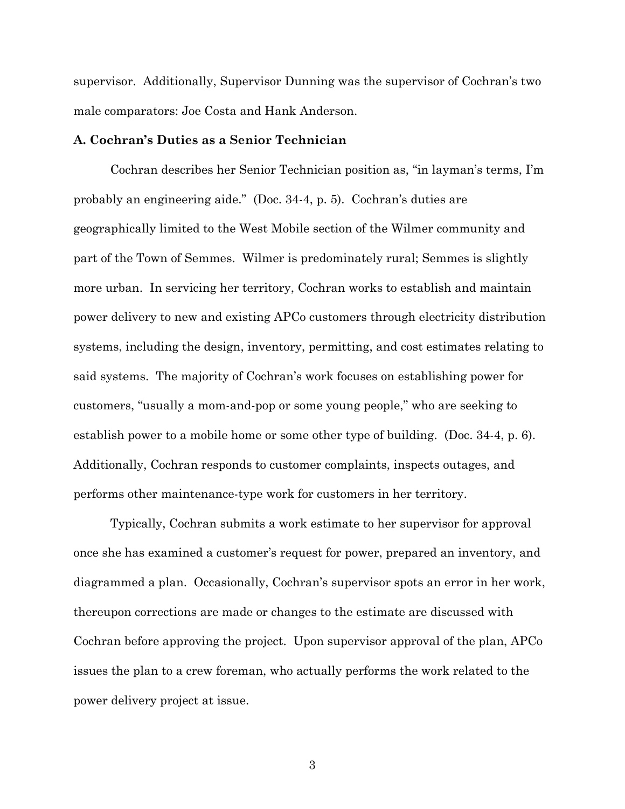supervisor. Additionally, Supervisor Dunning was the supervisor of Cochran's two male comparators: Joe Costa and Hank Anderson.

### **A. Cochran's Duties as a Senior Technician**

Cochran describes her Senior Technician position as, "in layman's terms, I'm probably an engineering aide." (Doc. 34-4, p. 5). Cochran's duties are geographically limited to the West Mobile section of the Wilmer community and part of the Town of Semmes. Wilmer is predominately rural; Semmes is slightly more urban. In servicing her territory, Cochran works to establish and maintain power delivery to new and existing APCo customers through electricity distribution systems, including the design, inventory, permitting, and cost estimates relating to said systems. The majority of Cochran's work focuses on establishing power for customers, "usually a mom-and-pop or some young people," who are seeking to establish power to a mobile home or some other type of building. (Doc. 34-4, p. 6). Additionally, Cochran responds to customer complaints, inspects outages, and performs other maintenance-type work for customers in her territory.

Typically, Cochran submits a work estimate to her supervisor for approval once she has examined a customer's request for power, prepared an inventory, and diagrammed a plan. Occasionally, Cochran's supervisor spots an error in her work, thereupon corrections are made or changes to the estimate are discussed with Cochran before approving the project. Upon supervisor approval of the plan, APCo issues the plan to a crew foreman, who actually performs the work related to the power delivery project at issue.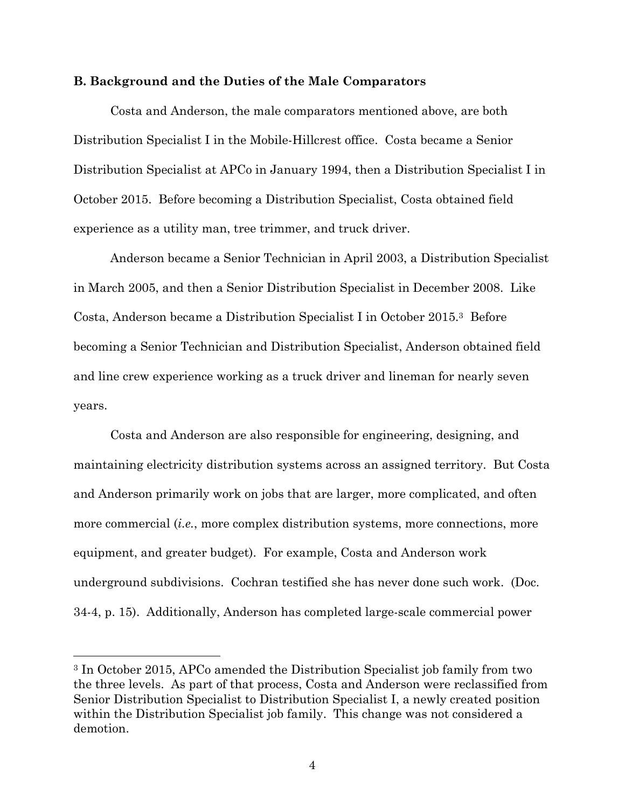#### **B. Background and the Duties of the Male Comparators**

Costa and Anderson, the male comparators mentioned above, are both Distribution Specialist I in the Mobile-Hillcrest office. Costa became a Senior Distribution Specialist at APCo in January 1994, then a Distribution Specialist I in October 2015. Before becoming a Distribution Specialist, Costa obtained field experience as a utility man, tree trimmer, and truck driver.

Anderson became a Senior Technician in April 2003, a Distribution Specialist in March 2005, and then a Senior Distribution Specialist in December 2008. Like Costa, Anderson became a Distribution Specialist I in October 2015.3 Before becoming a Senior Technician and Distribution Specialist, Anderson obtained field and line crew experience working as a truck driver and lineman for nearly seven years.

Costa and Anderson are also responsible for engineering, designing, and maintaining electricity distribution systems across an assigned territory. But Costa and Anderson primarily work on jobs that are larger, more complicated, and often more commercial (*i.e.*, more complex distribution systems, more connections, more equipment, and greater budget). For example, Costa and Anderson work underground subdivisions. Cochran testified she has never done such work. (Doc. 34-4, p. 15). Additionally, Anderson has completed large-scale commercial power

 <sup>3</sup> In October 2015, APCo amended the Distribution Specialist job family from two the three levels. As part of that process, Costa and Anderson were reclassified from Senior Distribution Specialist to Distribution Specialist I, a newly created position within the Distribution Specialist job family. This change was not considered a demotion.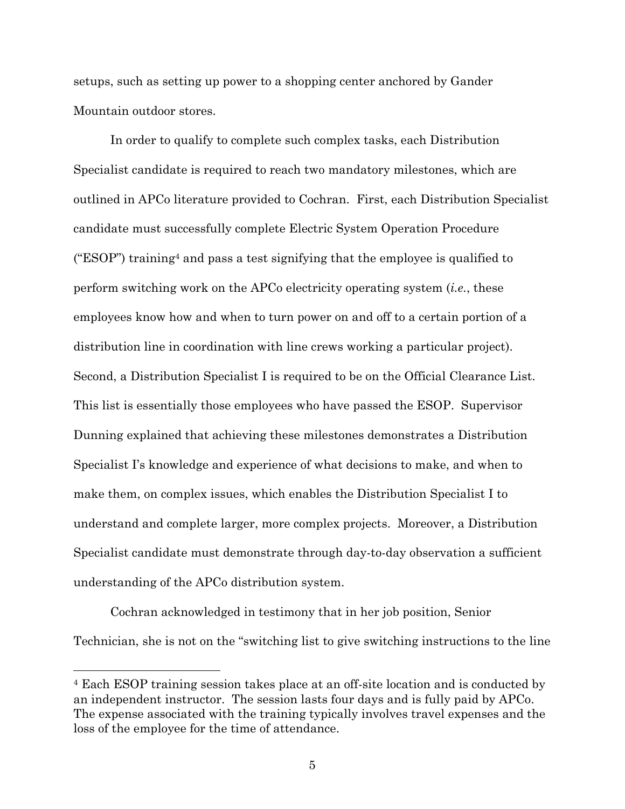setups, such as setting up power to a shopping center anchored by Gander Mountain outdoor stores.

In order to qualify to complete such complex tasks, each Distribution Specialist candidate is required to reach two mandatory milestones, which are outlined in APCo literature provided to Cochran. First, each Distribution Specialist candidate must successfully complete Electric System Operation Procedure ("ESOP") training4 and pass a test signifying that the employee is qualified to perform switching work on the APCo electricity operating system (*i.e.*, these employees know how and when to turn power on and off to a certain portion of a distribution line in coordination with line crews working a particular project). Second, a Distribution Specialist I is required to be on the Official Clearance List. This list is essentially those employees who have passed the ESOP. Supervisor Dunning explained that achieving these milestones demonstrates a Distribution Specialist I's knowledge and experience of what decisions to make, and when to make them, on complex issues, which enables the Distribution Specialist I to understand and complete larger, more complex projects. Moreover, a Distribution Specialist candidate must demonstrate through day-to-day observation a sufficient understanding of the APCo distribution system.

Cochran acknowledged in testimony that in her job position, Senior Technician, she is not on the "switching list to give switching instructions to the line

 <sup>4</sup> Each ESOP training session takes place at an off-site location and is conducted by an independent instructor. The session lasts four days and is fully paid by APCo. The expense associated with the training typically involves travel expenses and the loss of the employee for the time of attendance.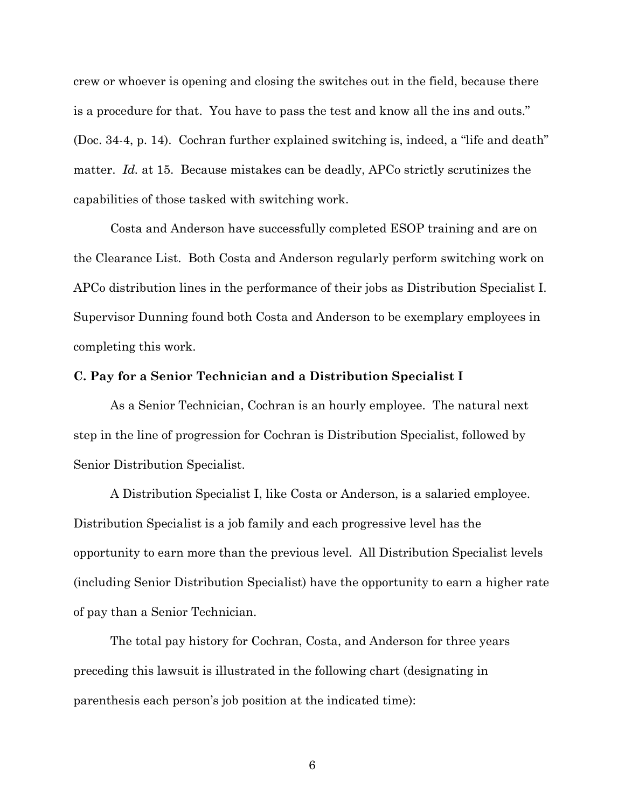crew or whoever is opening and closing the switches out in the field, because there is a procedure for that. You have to pass the test and know all the ins and outs." (Doc. 34-4, p. 14). Cochran further explained switching is, indeed, a "life and death" matter. *Id.* at 15. Because mistakes can be deadly, APCo strictly scrutinizes the capabilities of those tasked with switching work.

Costa and Anderson have successfully completed ESOP training and are on the Clearance List. Both Costa and Anderson regularly perform switching work on APCo distribution lines in the performance of their jobs as Distribution Specialist I. Supervisor Dunning found both Costa and Anderson to be exemplary employees in completing this work.

### **C. Pay for a Senior Technician and a Distribution Specialist I**

As a Senior Technician, Cochran is an hourly employee. The natural next step in the line of progression for Cochran is Distribution Specialist, followed by Senior Distribution Specialist.

A Distribution Specialist I, like Costa or Anderson, is a salaried employee. Distribution Specialist is a job family and each progressive level has the opportunity to earn more than the previous level. All Distribution Specialist levels (including Senior Distribution Specialist) have the opportunity to earn a higher rate of pay than a Senior Technician.

The total pay history for Cochran, Costa, and Anderson for three years preceding this lawsuit is illustrated in the following chart (designating in parenthesis each person's job position at the indicated time):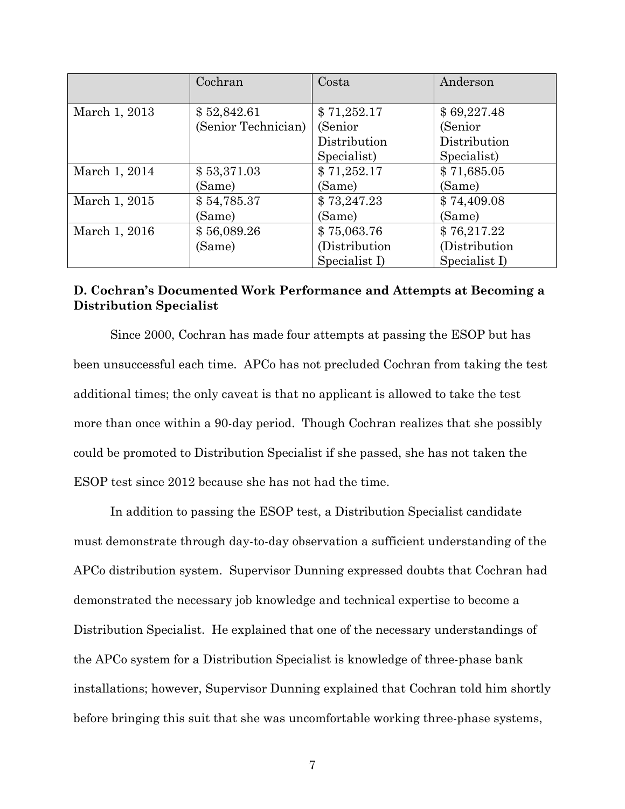|               | Cochran             | Costa         | Anderson       |
|---------------|---------------------|---------------|----------------|
|               |                     |               |                |
| March 1, 2013 | \$52,842.61         | \$71,252.17   | \$69,227.48    |
|               | (Senior Technician) | (Senior       | (Senior        |
|               |                     | Distribution  | Distribution   |
|               |                     | Specialist)   | Specialist)    |
| March 1, 2014 | \$53,371.03         | \$71,252.17   | \$71,685.05    |
|               | (Same)              | (Same)        | (Same)         |
| March 1, 2015 | \$54,785.37         | \$73,247.23   | \$74,409.08    |
|               | (Same)              | (Same)        | (Same)         |
| March 1, 2016 | \$56,089.26         | \$75,063.76   | \$76,217.22    |
|               | (Same)              | (Distribution | (Distribution) |
|               |                     | Specialist I) | Specialist I)  |

# **D. Cochran's Documented Work Performance and Attempts at Becoming a Distribution Specialist**

Since 2000, Cochran has made four attempts at passing the ESOP but has been unsuccessful each time. APCo has not precluded Cochran from taking the test additional times; the only caveat is that no applicant is allowed to take the test more than once within a 90-day period. Though Cochran realizes that she possibly could be promoted to Distribution Specialist if she passed, she has not taken the ESOP test since 2012 because she has not had the time.

In addition to passing the ESOP test, a Distribution Specialist candidate must demonstrate through day-to-day observation a sufficient understanding of the APCo distribution system. Supervisor Dunning expressed doubts that Cochran had demonstrated the necessary job knowledge and technical expertise to become a Distribution Specialist. He explained that one of the necessary understandings of the APCo system for a Distribution Specialist is knowledge of three-phase bank installations; however, Supervisor Dunning explained that Cochran told him shortly before bringing this suit that she was uncomfortable working three-phase systems,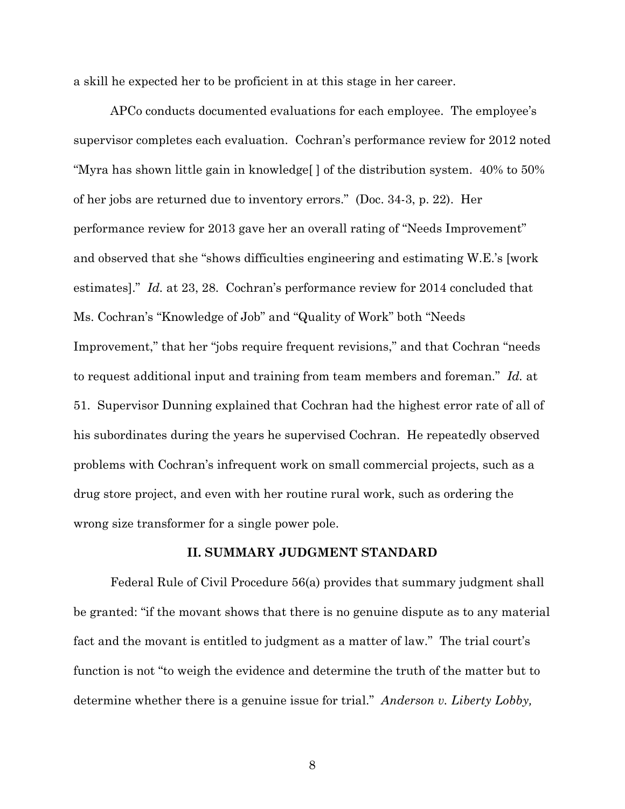a skill he expected her to be proficient in at this stage in her career.

APCo conducts documented evaluations for each employee. The employee's supervisor completes each evaluation. Cochran's performance review for 2012 noted "Myra has shown little gain in knowledge[ ] of the distribution system. 40% to 50% of her jobs are returned due to inventory errors." (Doc. 34-3, p. 22). Her performance review for 2013 gave her an overall rating of "Needs Improvement" and observed that she "shows difficulties engineering and estimating W.E.'s [work estimates]." *Id.* at 23, 28. Cochran's performance review for 2014 concluded that Ms. Cochran's "Knowledge of Job" and "Quality of Work" both "Needs Improvement," that her "jobs require frequent revisions," and that Cochran "needs to request additional input and training from team members and foreman." *Id.* at 51. Supervisor Dunning explained that Cochran had the highest error rate of all of his subordinates during the years he supervised Cochran. He repeatedly observed problems with Cochran's infrequent work on small commercial projects, such as a drug store project, and even with her routine rural work, such as ordering the wrong size transformer for a single power pole.

### **II. SUMMARY JUDGMENT STANDARD**

Federal Rule of Civil Procedure 56(a) provides that summary judgment shall be granted: "if the movant shows that there is no genuine dispute as to any material fact and the movant is entitled to judgment as a matter of law." The trial court's function is not "to weigh the evidence and determine the truth of the matter but to determine whether there is a genuine issue for trial." *Anderson v. Liberty Lobby,*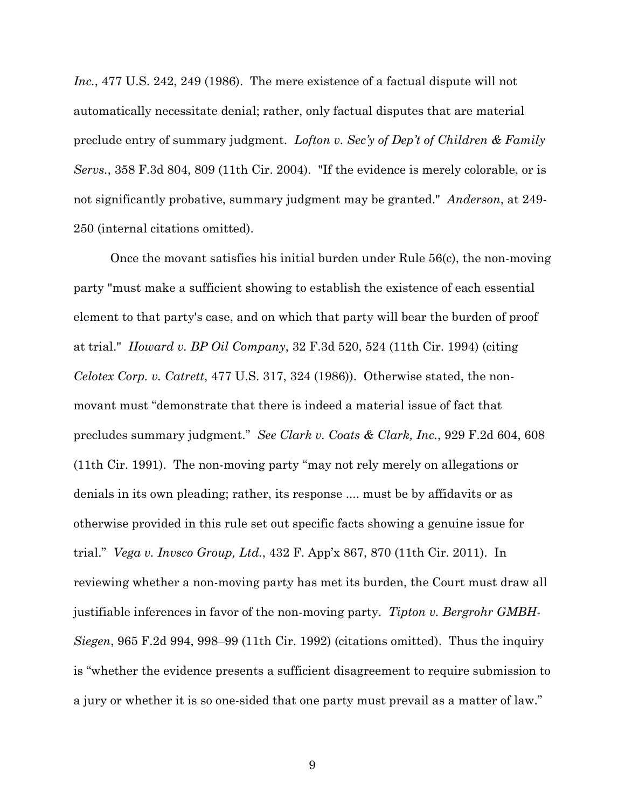*Inc.*, 477 U.S. 242, 249 (1986). The mere existence of a factual dispute will not automatically necessitate denial; rather, only factual disputes that are material preclude entry of summary judgment. *Lofton v. Sec'y of Dep't of Children & Family Servs.*, 358 F.3d 804, 809 (11th Cir. 2004). "If the evidence is merely colorable, or is not significantly probative, summary judgment may be granted." *Anderson*, at 249- 250 (internal citations omitted).

Once the movant satisfies his initial burden under Rule 56(c), the non-moving party "must make a sufficient showing to establish the existence of each essential element to that party's case, and on which that party will bear the burden of proof at trial." *Howard v. BP Oil Company*, 32 F.3d 520, 524 (11th Cir. 1994) (citing *Celotex Corp. v. Catrett*, 477 U.S. 317, 324 (1986)). Otherwise stated, the nonmovant must "demonstrate that there is indeed a material issue of fact that precludes summary judgment." *See Clark v. Coats & Clark, Inc.*, 929 F.2d 604, 608 (11th Cir. 1991). The non-moving party "may not rely merely on allegations or denials in its own pleading; rather, its response .... must be by affidavits or as otherwise provided in this rule set out specific facts showing a genuine issue for trial." *Vega v. Invsco Group, Ltd.*, 432 F. App'x 867, 870 (11th Cir. 2011). In reviewing whether a non-moving party has met its burden, the Court must draw all justifiable inferences in favor of the non-moving party. *Tipton v. Bergrohr GMBH-Siegen*, 965 F.2d 994, 998–99 (11th Cir. 1992) (citations omitted). Thus the inquiry is "whether the evidence presents a sufficient disagreement to require submission to a jury or whether it is so one-sided that one party must prevail as a matter of law."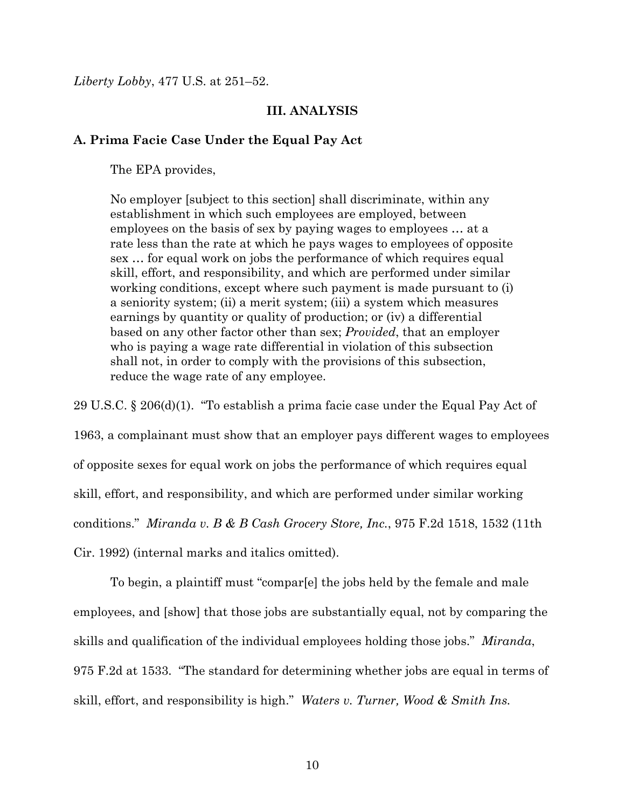*Liberty Lobby*, 477 U.S. at 251–52.

## **III. ANALYSIS**

### **A. Prima Facie Case Under the Equal Pay Act**

The EPA provides,

No employer [subject to this section] shall discriminate, within any establishment in which such employees are employed, between employees on the basis of sex by paying wages to employees … at a rate less than the rate at which he pays wages to employees of opposite sex … for equal work on jobs the performance of which requires equal skill, effort, and responsibility, and which are performed under similar working conditions, except where such payment is made pursuant to (i) a seniority system; (ii) a merit system; (iii) a system which measures earnings by quantity or quality of production; or (iv) a differential based on any other factor other than sex; *Provided*, that an employer who is paying a wage rate differential in violation of this subsection shall not, in order to comply with the provisions of this subsection, reduce the wage rate of any employee.

29 U.S.C. § 206(d)(1). "To establish a prima facie case under the Equal Pay Act of 1963, a complainant must show that an employer pays different wages to employees of opposite sexes for equal work on jobs the performance of which requires equal skill, effort, and responsibility, and which are performed under similar working conditions." *Miranda v. B & B Cash Grocery Store, Inc.*, 975 F.2d 1518, 1532 (11th Cir. 1992) (internal marks and italics omitted).

To begin, a plaintiff must "compar[e] the jobs held by the female and male employees, and [show] that those jobs are substantially equal, not by comparing the skills and qualification of the individual employees holding those jobs." *Miranda*, 975 F.2d at 1533. "The standard for determining whether jobs are equal in terms of skill, effort, and responsibility is high." *Waters v. Turner, Wood & Smith Ins.*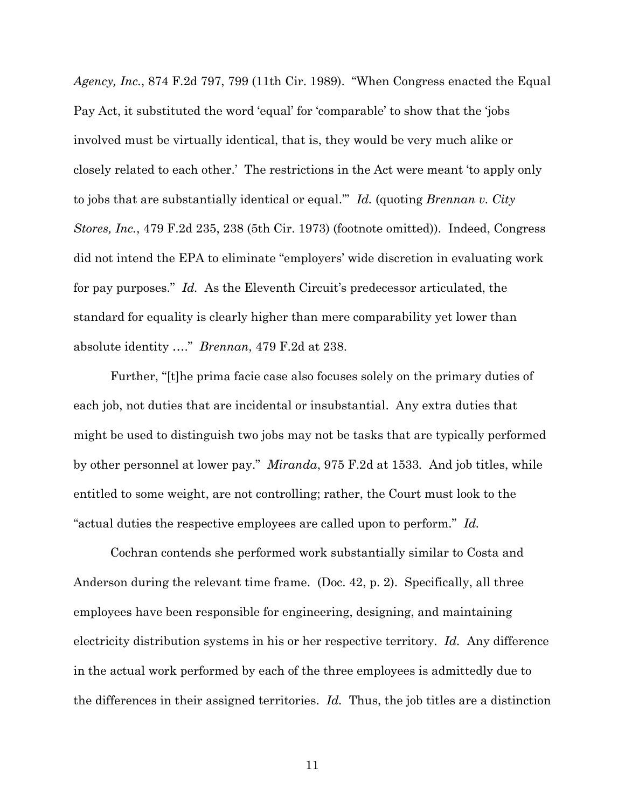*Agency, Inc.*, 874 F.2d 797, 799 (11th Cir. 1989). "When Congress enacted the Equal Pay Act, it substituted the word 'equal' for 'comparable' to show that the 'jobs involved must be virtually identical, that is, they would be very much alike or closely related to each other.' The restrictions in the Act were meant 'to apply only to jobs that are substantially identical or equal.'" *Id.* (quoting *Brennan v. City Stores, Inc.*, 479 F.2d 235, 238 (5th Cir. 1973) (footnote omitted)). Indeed, Congress did not intend the EPA to eliminate "employers' wide discretion in evaluating work for pay purposes." *Id.* As the Eleventh Circuit's predecessor articulated, the standard for equality is clearly higher than mere comparability yet lower than absolute identity …." *Brennan*, 479 F.2d at 238.

Further, "[t]he prima facie case also focuses solely on the primary duties of each job, not duties that are incidental or insubstantial. Any extra duties that might be used to distinguish two jobs may not be tasks that are typically performed by other personnel at lower pay." *Miranda*, 975 F.2d at 1533*.* And job titles, while entitled to some weight, are not controlling; rather, the Court must look to the "actual duties the respective employees are called upon to perform." *Id.*

Cochran contends she performed work substantially similar to Costa and Anderson during the relevant time frame. (Doc. 42, p. 2). Specifically, all three employees have been responsible for engineering, designing, and maintaining electricity distribution systems in his or her respective territory. *Id.* Any difference in the actual work performed by each of the three employees is admittedly due to the differences in their assigned territories. *Id.* Thus, the job titles are a distinction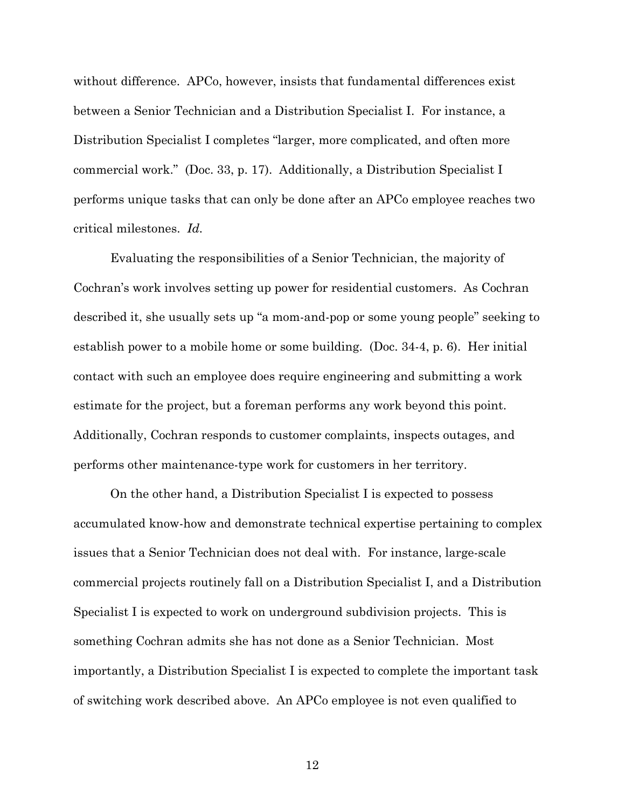without difference. APCo, however, insists that fundamental differences exist between a Senior Technician and a Distribution Specialist I. For instance, a Distribution Specialist I completes "larger, more complicated, and often more commercial work." (Doc. 33, p. 17). Additionally, a Distribution Specialist I performs unique tasks that can only be done after an APCo employee reaches two critical milestones. *Id.*

Evaluating the responsibilities of a Senior Technician, the majority of Cochran's work involves setting up power for residential customers. As Cochran described it, she usually sets up "a mom-and-pop or some young people" seeking to establish power to a mobile home or some building. (Doc. 34-4, p. 6). Her initial contact with such an employee does require engineering and submitting a work estimate for the project, but a foreman performs any work beyond this point. Additionally, Cochran responds to customer complaints, inspects outages, and performs other maintenance-type work for customers in her territory.

On the other hand, a Distribution Specialist I is expected to possess accumulated know-how and demonstrate technical expertise pertaining to complex issues that a Senior Technician does not deal with. For instance, large-scale commercial projects routinely fall on a Distribution Specialist I, and a Distribution Specialist I is expected to work on underground subdivision projects. This is something Cochran admits she has not done as a Senior Technician. Most importantly, a Distribution Specialist I is expected to complete the important task of switching work described above. An APCo employee is not even qualified to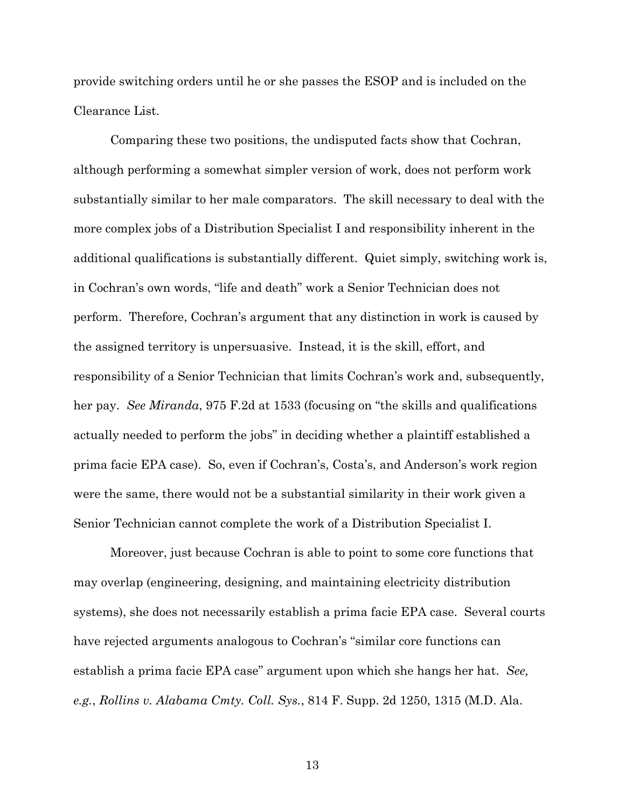provide switching orders until he or she passes the ESOP and is included on the Clearance List.

Comparing these two positions, the undisputed facts show that Cochran, although performing a somewhat simpler version of work, does not perform work substantially similar to her male comparators. The skill necessary to deal with the more complex jobs of a Distribution Specialist I and responsibility inherent in the additional qualifications is substantially different. Quiet simply, switching work is, in Cochran's own words, "life and death" work a Senior Technician does not perform. Therefore, Cochran's argument that any distinction in work is caused by the assigned territory is unpersuasive. Instead, it is the skill, effort, and responsibility of a Senior Technician that limits Cochran's work and, subsequently, her pay. *See Miranda*, 975 F.2d at 1533 (focusing on "the skills and qualifications actually needed to perform the jobs" in deciding whether a plaintiff established a prima facie EPA case). So, even if Cochran's, Costa's, and Anderson's work region were the same, there would not be a substantial similarity in their work given a Senior Technician cannot complete the work of a Distribution Specialist I.

Moreover, just because Cochran is able to point to some core functions that may overlap (engineering, designing, and maintaining electricity distribution systems), she does not necessarily establish a prima facie EPA case. Several courts have rejected arguments analogous to Cochran's "similar core functions can establish a prima facie EPA case" argument upon which she hangs her hat. *See, e.g.*, *Rollins v. Alabama Cmty. Coll. Sys.*, 814 F. Supp. 2d 1250, 1315 (M.D. Ala.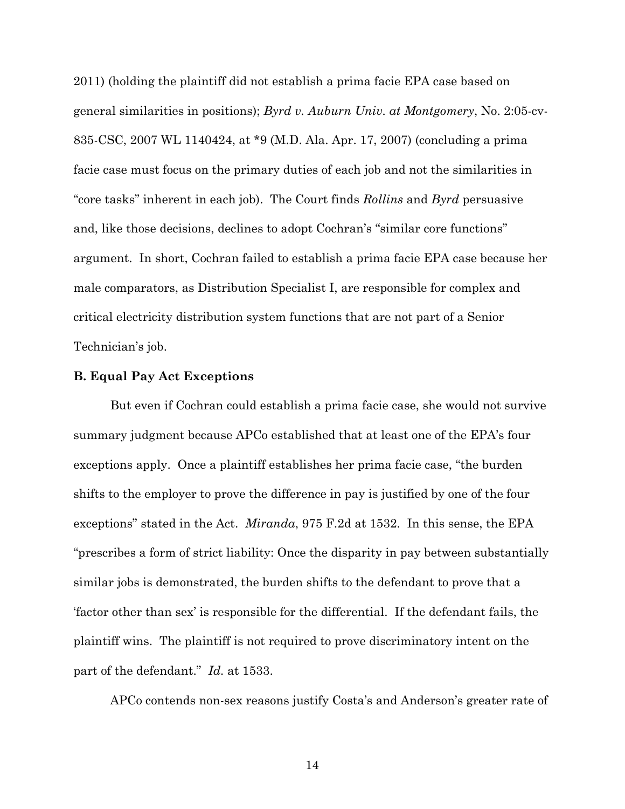2011) (holding the plaintiff did not establish a prima facie EPA case based on general similarities in positions); *Byrd v. Auburn Univ. at Montgomery*, No. 2:05-cv-835-CSC, 2007 WL 1140424, at \*9 (M.D. Ala. Apr. 17, 2007) (concluding a prima facie case must focus on the primary duties of each job and not the similarities in "core tasks" inherent in each job). The Court finds *Rollins* and *Byrd* persuasive and, like those decisions, declines to adopt Cochran's "similar core functions" argument. In short, Cochran failed to establish a prima facie EPA case because her male comparators, as Distribution Specialist I, are responsible for complex and critical electricity distribution system functions that are not part of a Senior Technician's job.

## **B. Equal Pay Act Exceptions**

But even if Cochran could establish a prima facie case, she would not survive summary judgment because APCo established that at least one of the EPA's four exceptions apply. Once a plaintiff establishes her prima facie case, "the burden shifts to the employer to prove the difference in pay is justified by one of the four exceptions" stated in the Act. *Miranda*, 975 F.2d at 1532. In this sense, the EPA "prescribes a form of strict liability: Once the disparity in pay between substantially similar jobs is demonstrated, the burden shifts to the defendant to prove that a 'factor other than sex' is responsible for the differential. If the defendant fails, the plaintiff wins. The plaintiff is not required to prove discriminatory intent on the part of the defendant." *Id.* at 1533.

APCo contends non-sex reasons justify Costa's and Anderson's greater rate of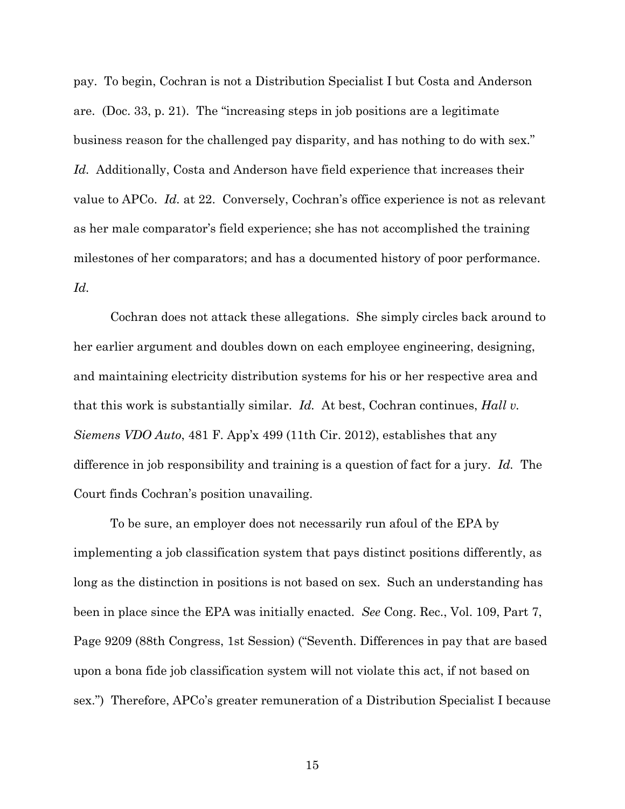pay. To begin, Cochran is not a Distribution Specialist I but Costa and Anderson are. (Doc. 33, p. 21). The "increasing steps in job positions are a legitimate business reason for the challenged pay disparity, and has nothing to do with sex." *Id.* Additionally, Costa and Anderson have field experience that increases their value to APCo. *Id.* at 22. Conversely, Cochran's office experience is not as relevant as her male comparator's field experience; she has not accomplished the training milestones of her comparators; and has a documented history of poor performance. *Id.*

Cochran does not attack these allegations. She simply circles back around to her earlier argument and doubles down on each employee engineering, designing, and maintaining electricity distribution systems for his or her respective area and that this work is substantially similar. *Id.* At best, Cochran continues, *Hall v. Siemens VDO Auto*, 481 F. App'x 499 (11th Cir. 2012), establishes that any difference in job responsibility and training is a question of fact for a jury. *Id.* The Court finds Cochran's position unavailing.

To be sure, an employer does not necessarily run afoul of the EPA by implementing a job classification system that pays distinct positions differently, as long as the distinction in positions is not based on sex. Such an understanding has been in place since the EPA was initially enacted. *See* Cong. Rec., Vol. 109, Part 7, Page 9209 (88th Congress, 1st Session) ("Seventh. Differences in pay that are based upon a bona fide job classification system will not violate this act, if not based on sex.") Therefore, APCo's greater remuneration of a Distribution Specialist I because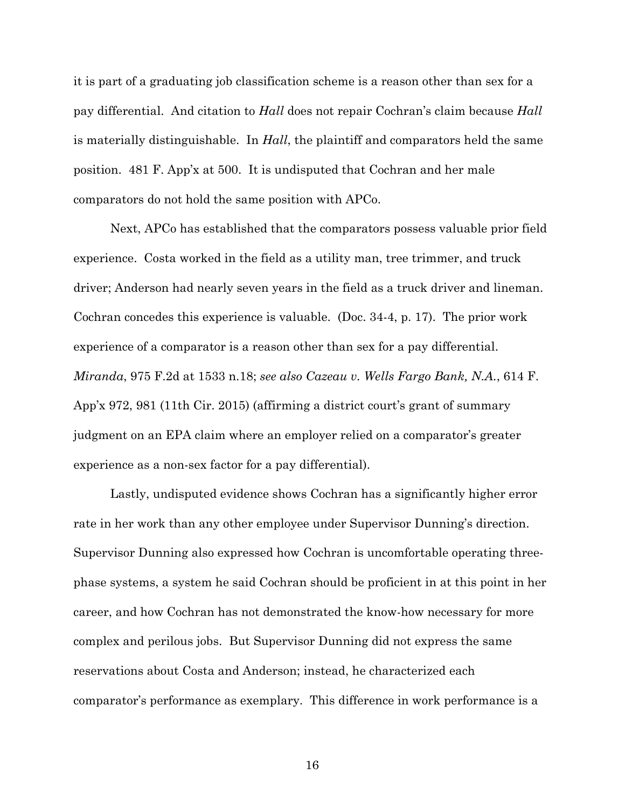it is part of a graduating job classification scheme is a reason other than sex for a pay differential. And citation to *Hall* does not repair Cochran's claim because *Hall* is materially distinguishable. In *Hall*, the plaintiff and comparators held the same position. 481 F. App'x at 500. It is undisputed that Cochran and her male comparators do not hold the same position with APCo.

Next, APCo has established that the comparators possess valuable prior field experience. Costa worked in the field as a utility man, tree trimmer, and truck driver; Anderson had nearly seven years in the field as a truck driver and lineman. Cochran concedes this experience is valuable. (Doc. 34-4, p. 17). The prior work experience of a comparator is a reason other than sex for a pay differential. *Miranda*, 975 F.2d at 1533 n.18; *see also Cazeau v. Wells Fargo Bank, N.A.*, 614 F. App'x 972, 981 (11th Cir. 2015) (affirming a district court's grant of summary judgment on an EPA claim where an employer relied on a comparator's greater experience as a non-sex factor for a pay differential).

Lastly, undisputed evidence shows Cochran has a significantly higher error rate in her work than any other employee under Supervisor Dunning's direction. Supervisor Dunning also expressed how Cochran is uncomfortable operating threephase systems, a system he said Cochran should be proficient in at this point in her career, and how Cochran has not demonstrated the know-how necessary for more complex and perilous jobs. But Supervisor Dunning did not express the same reservations about Costa and Anderson; instead, he characterized each comparator's performance as exemplary. This difference in work performance is a